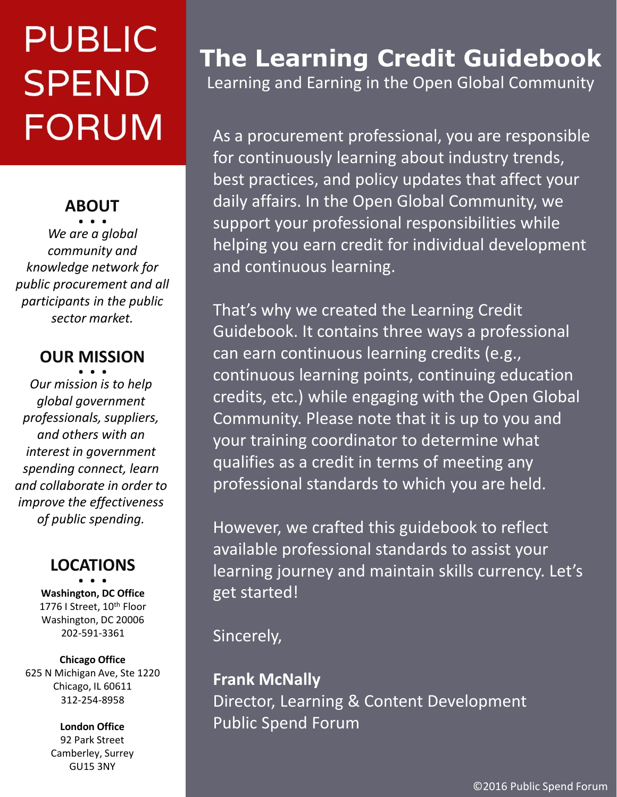# **PUBLIC SPEND FORUM**

### **ABOUT . . .**

*We are a global community and knowledge network for public procurement and all participants in the public sector market.* 

### **OUR MISSION . . .**

*Our mission is to help global government professionals, suppliers, and others with an interest in government spending connect, learn and collaborate in order to improve the effectiveness of public spending.* 

### **LOCATIONS . . .**

**Washington, DC Office** 1776 I Street, 10<sup>th</sup> Floor Washington, DC 20006 202-591-3361

#### **Chicago Office**

625 N Michigan Ave, Ste 1220 Chicago, IL 60611 312-254-8958

#### **London Office** 92 Park Street Camberley, Surrey GU15 3NY

### **The Learning Credit Guidebook**

Learning and Earning in the Open Global Community

As a procurement professional, you are responsible for continuously learning about industry trends, best practices, and policy updates that affect your daily affairs. In the Open Global Community, we support your professional responsibilities while helping you earn credit for individual development and continuous learning.

That's why we created the Learning Credit Guidebook. It contains three ways a professional can earn continuous learning credits (e.g., continuous learning points, continuing education credits, etc.) while engaging with the Open Global Community. Please note that it is up to you and your training coordinator to determine what qualifies as a credit in terms of meeting any professional standards to which you are held.

However, we crafted this guidebook to reflect available professional standards to assist your learning journey and maintain skills currency. Let's get started!

Sincerely,

**Frank McNally** Director, Learning & Content Development Public Spend Forum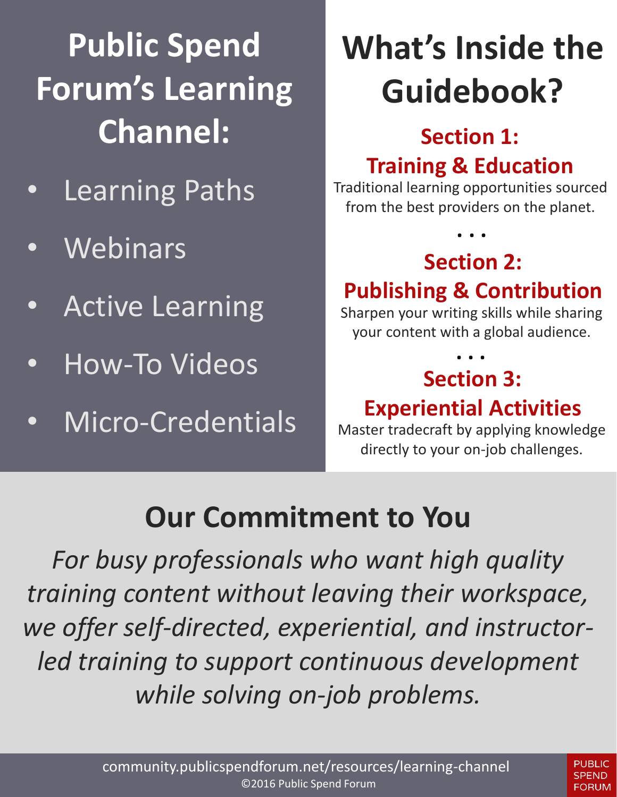# **Public Spend Forum's Learning Channel: Section 1:**

- Learning Paths
- **Webinars**
- Active Learning
- How-To Videos
- Micro-Credentials

# **What's Inside the Guidebook?**

# **Training & Education**

Traditional learning opportunities sourced from the best providers on the planet.

## **Section 2:**

**. . .**

### **Publishing & Contribution**

Sharpen your writing skills while sharing your content with a global audience.

### **Section 3: Experiential Activities . . .**

Master tradecraft by applying knowledge directly to your on-job challenges.

### **Our Commitment to You**

*For busy professionals who want high quality training content without leaving their workspace, we offer self-directed, experiential, and instructorled training to support continuous development while solving on-job problems.*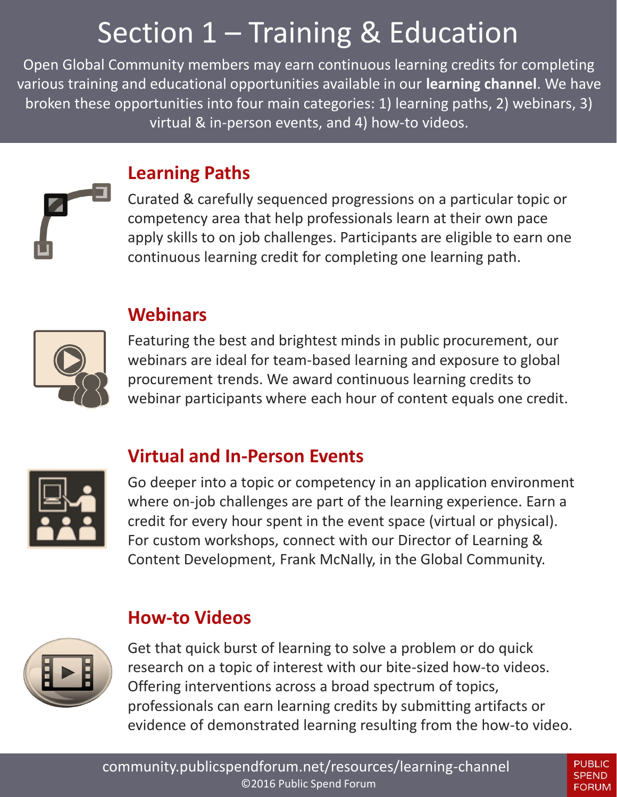## Section 1 – Training & Education

Open Global Community members may earn continuous learning credits for completing various training and educational opportunities available in our **learning channel**. We have broken these opportunities into four main categories: 1) learning paths, 2) webinars, 3) virtual & in-person events, and 4) how-to videos.



#### **Learning Paths**

Curated & carefully sequenced progressions on a particular topic or competency area that help professionals learn at their own pace apply skills to on job challenges. Participants are eligible to earn one continuous learning credit for completing one learning path.



#### **Webinars**

Featuring the best and brightest minds in public procurement, our webinars are ideal for team-based learning and exposure to global procurement trends. We award continuous learning credits to webinar participants where each hour of content equals one credit.

#### **Virtual and In-Person Events**



Go deeper into a topic or competency in an application environment where on-job challenges are part of the learning experience. Earn a credit for every hour spent in the event space (virtual or physical). For custom workshops, connect with our Director of Learning & Content Development, Frank McNally, in the Global Community.

#### **How-to Videos**



Get that quick burst of learning to solve a problem or do quick research on a topic of interest with our bite-sized how-to videos. Offering interventions across a broad spectrum of topics, professionals can earn learning credits by submitting artifacts or evidence of demonstrated learning resulting from the how-to video.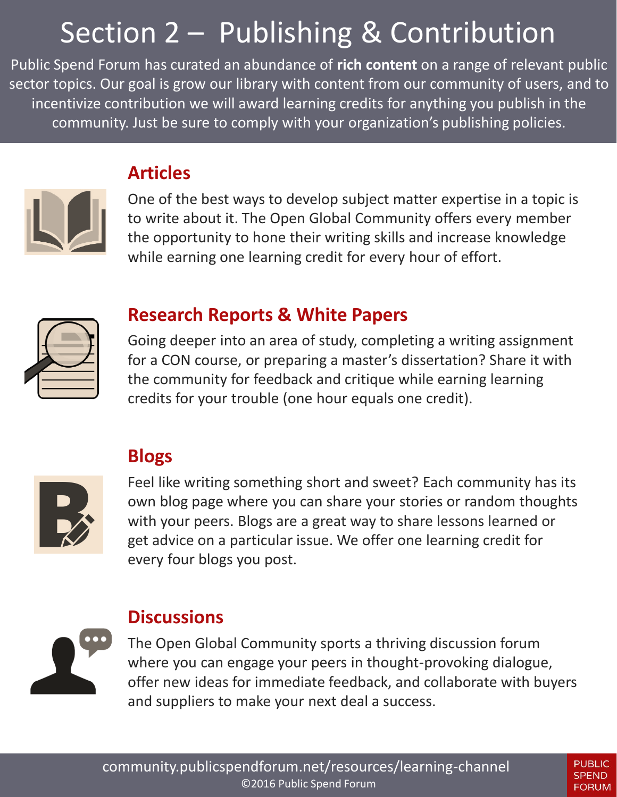## Section 2 – Publishing & Contribution

Public Spend Forum has curated an abundance of **rich content** on a range of relevant public sector topics. Our goal is grow our library with content from our community of users, and to incentivize contribution we will award learning credits for anything you publish in the community. Just be sure to comply with your organization's publishing policies.



#### **Articles**

One of the best ways to develop subject matter expertise in a topic is to write about it. The Open Global Community offers every member the opportunity to hone their writing skills and increase knowledge while earning one learning credit for every hour of effort.



#### **Research Reports & White Papers**

Going deeper into an area of study, completing a writing assignment for a CON course, or preparing a master's dissertation? Share it with the community for feedback and critique while earning learning credits for your trouble (one hour equals one credit).



#### **Blogs**

Feel like writing something short and sweet? Each community has its own blog page where you can share your stories or random thoughts with your peers. Blogs are a great way to share lessons learned or get advice on a particular issue. We offer one learning credit for every four blogs you post.



#### **Discussions**

The Open Global Community sports a thriving discussion forum where you can engage your peers in thought-provoking dialogue, offer new ideas for immediate feedback, and collaborate with buyers and suppliers to make your next deal a success.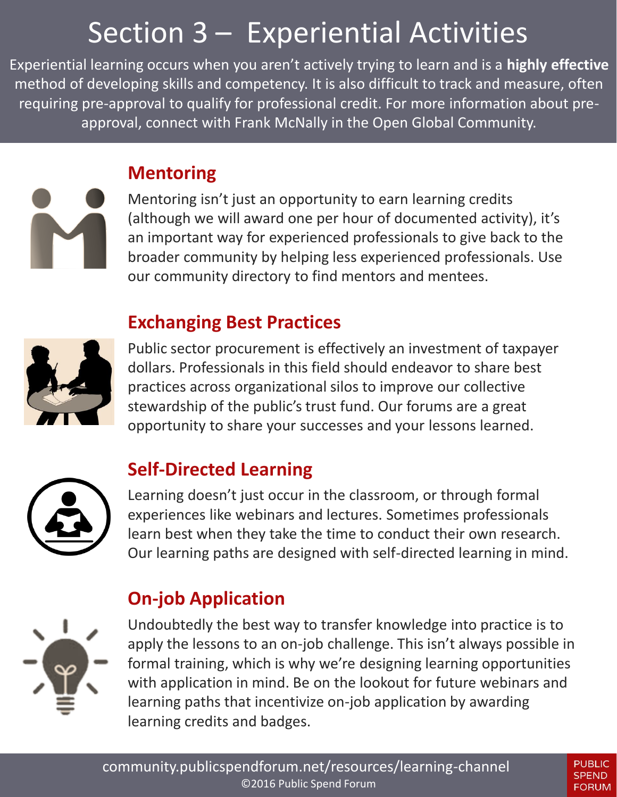## Section 3 – Experiential Activities

Experiential learning occurs when you aren't actively trying to learn and is a **highly effective** method of developing skills and competency. It is also difficult to track and measure, often requiring pre-approval to qualify for professional credit. For more information about preapproval, connect with Frank McNally in the Open Global Community.

#### **Mentoring**

Mentoring isn't just an opportunity to earn learning credits (although we will award one per hour of documented activity), it's an important way for experienced professionals to give back to the broader community by helping less experienced professionals. Use our community directory to find mentors and mentees.

#### **Exchanging Best Practices**



Public sector procurement is effectively an investment of taxpayer dollars. Professionals in this field should endeavor to share best practices across organizational silos to improve our collective stewardship of the public's trust fund. Our forums are a great opportunity to share your successes and your lessons learned.



#### **Self-Directed Learning**

Learning doesn't just occur in the classroom, or through formal experiences like webinars and lectures. Sometimes professionals learn best when they take the time to conduct their own research. Our learning paths are designed with self-directed learning in mind.

#### **On-job Application**



Undoubtedly the best way to transfer knowledge into practice is to apply the lessons to an on-job challenge. This isn't always possible in formal training, which is why we're designing learning opportunities with application in mind. Be on the lookout for future webinars and learning paths that incentivize on-job application by awarding learning credits and badges.